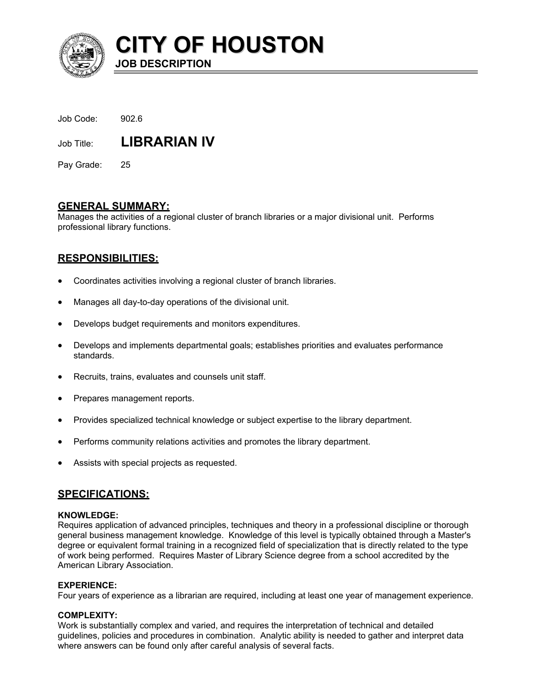

**CITY OF HOUSTON JOB DESCRIPTION** 

| Job Code: | 902.6 |
|-----------|-------|
|           |       |

Job Title: **LIBRARIAN IV** 

Pay Grade: 25

## **GENERAL SUMMARY:**

Manages the activities of a regional cluster of branch libraries or a major divisional unit. Performs professional library functions.

## **RESPONSIBILITIES:**

- Coordinates activities involving a regional cluster of branch libraries.
- Manages all day-to-day operations of the divisional unit.
- Develops budget requirements and monitors expenditures.
- Develops and implements departmental goals; establishes priorities and evaluates performance standards.
- Recruits, trains, evaluates and counsels unit staff.
- Prepares management reports.
- Provides specialized technical knowledge or subject expertise to the library department.
- Performs community relations activities and promotes the library department.
- Assists with special projects as requested.

## **SPECIFICATIONS:**

## **KNOWLEDGE:**

Requires application of advanced principles, techniques and theory in a professional discipline or thorough general business management knowledge. Knowledge of this level is typically obtained through a Master's degree or equivalent formal training in a recognized field of specialization that is directly related to the type of work being performed. Requires Master of Library Science degree from a school accredited by the American Library Association.

## **EXPERIENCE:**

Four years of experience as a librarian are required, including at least one year of management experience.

## **COMPLEXITY:**

Work is substantially complex and varied, and requires the interpretation of technical and detailed guidelines, policies and procedures in combination. Analytic ability is needed to gather and interpret data where answers can be found only after careful analysis of several facts.